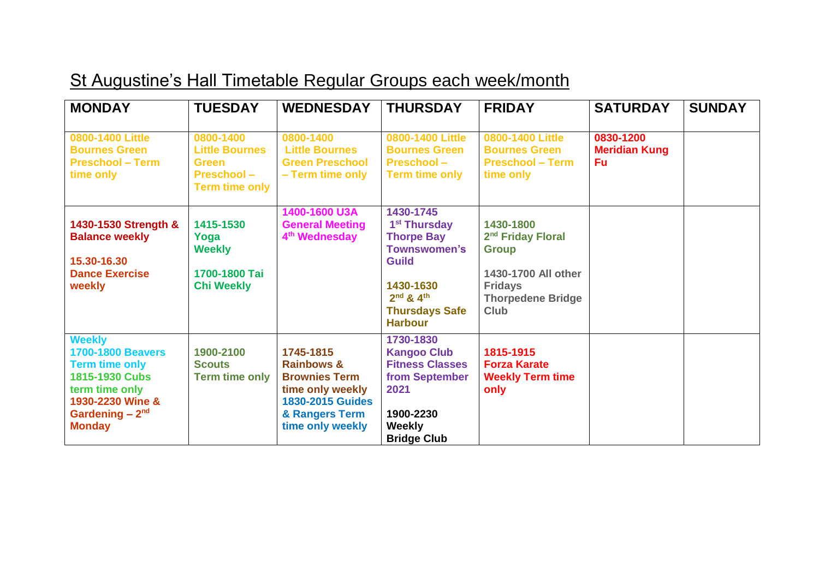## St Augustine's Hall Timetable Regular Groups each week/month

| <b>MONDAY</b>                                                                                                                                                   | <b>TUESDAY</b>                                                                             | <b>WEDNESDAY</b>                                                                                                                                | <b>THURSDAY</b>                                                                                                                                                                | <b>FRIDAY</b>                                                                                                                                  | <b>SATURDAY</b>                         | <b>SUNDAY</b> |
|-----------------------------------------------------------------------------------------------------------------------------------------------------------------|--------------------------------------------------------------------------------------------|-------------------------------------------------------------------------------------------------------------------------------------------------|--------------------------------------------------------------------------------------------------------------------------------------------------------------------------------|------------------------------------------------------------------------------------------------------------------------------------------------|-----------------------------------------|---------------|
| 0800-1400 Little<br><b>Bournes Green</b><br><b>Preschool - Term</b><br>time only                                                                                | 0800-1400<br><b>Little Bournes</b><br>Green<br><b>Preschool -</b><br><b>Term time only</b> | 0800-1400<br><b>Little Bournes</b><br><b>Green Preschool</b><br>- Term time only                                                                | 0800-1400 Little<br><b>Bournes Green</b><br><b>Preschool-</b><br><b>Term time only</b>                                                                                         | 0800-1400 Little<br><b>Bournes Green</b><br><b>Preschool - Term</b><br>time only                                                               | 0830-1200<br><b>Meridian Kung</b><br>Fu |               |
| 1430-1530 Strength &<br><b>Balance weekly</b><br>15.30-16.30<br><b>Dance Exercise</b><br>weekly                                                                 | 1415-1530<br>Yoga<br><b>Weekly</b><br>1700-1800 Tai<br><b>Chi Weekly</b>                   | 1400-1600 U3A<br><b>General Meeting</b><br>4 <sup>th</sup> Wednesday                                                                            | 1430-1745<br>1 <sup>st</sup> Thursday<br><b>Thorpe Bay</b><br><b>Townswomen's</b><br><b>Guild</b><br>1430-1630<br>$2^{nd} 8 4^{th}$<br><b>Thursdays Safe</b><br><b>Harbour</b> | 1430-1800<br>2 <sup>nd</sup> Friday Floral<br><b>Group</b><br>1430-1700 All other<br><b>Fridays</b><br><b>Thorpedene Bridge</b><br><b>Club</b> |                                         |               |
| <b>Weekly</b><br><b>1700-1800 Beavers</b><br><b>Term time only</b><br>1815-1930 Cubs<br>term time only<br>1930-2230 Wine &<br>Gardening $-2nd$<br><b>Monday</b> | 1900-2100<br><b>Scouts</b><br><b>Term time only</b>                                        | 1745-1815<br><b>Rainbows &amp;</b><br><b>Brownies Term</b><br>time only weekly<br><b>1830-2015 Guides</b><br>& Rangers Term<br>time only weekly | 1730-1830<br><b>Kangoo Club</b><br><b>Fitness Classes</b><br>from September<br>2021<br>1900-2230<br><b>Weekly</b><br><b>Bridge Club</b>                                        | 1815-1915<br><b>Forza Karate</b><br><b>Weekly Term time</b><br>only                                                                            |                                         |               |